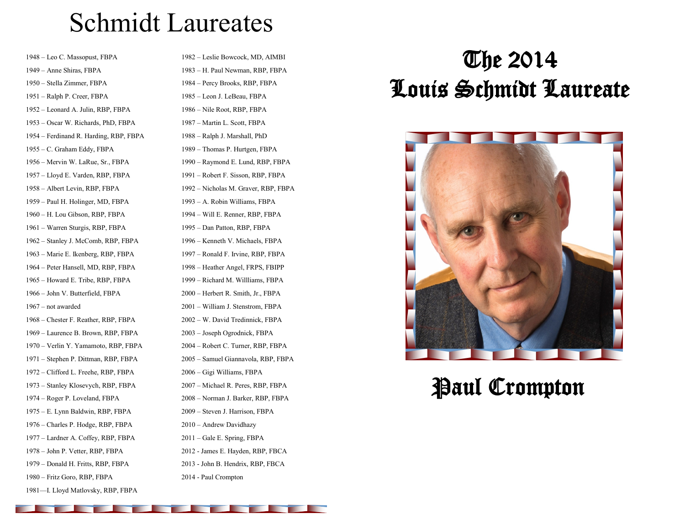# Schmidt Laureates

– Leo C. Massopust, FBPA – Anne Shiras, FBPA – Stella Zimmer, FBPA – Ralph P. Creer, FBPA – Leonard A. Julin, RBP, FBPA – Oscar W. Richards, PhD, FBPA – Ferdinand R. Harding, RBP, FBPA – C. Graham Eddy, FBPA – Mervin W. LaRue, Sr., FBPA – Lloyd E. Varden, RBP, FBPA – Albert Levin, RBP, FBPA – Paul H. Holinger, MD, FBPA – H. Lou Gibson, RBP, FBPA – Warren Sturgis, RBP, FBPA – Stanley J. McComb, RBP, FBPA – Marie E. Ikenberg, RBP, FBPA – Peter Hansell, MD, RBP, FBPA – Howard E. Tribe, RBP, FBPA – John V. Butterfield, FBPA – not awarded – Chester F. Reather, RBP, FBPA – Laurence B. Brown, RBP, FBPA – Verlin Y. Yamamoto, RBP, FBPA – Stephen P. Dittman, RBP, FBPA – Clifford L. Freehe, RBP, FBPA – Stanley Klosevych, RBP, FBPA – Roger P. Loveland, FBPA – E. Lynn Baldwin, RBP, FBPA – Charles P. Hodge, RBP, FBPA – Lardner A. Coffey, RBP, FBPA – John P. Vetter, RBP, FBPA – Donald H. Fritts, RBP, FBPA – Fritz Goro, RBP, FBPA

—I. Lloyd Matlovsky, RBP, FBPA

– Leslie Bowcock, MD, AIMBI – H. Paul Newman, RBP, FBPA – Percy Brooks, RBP, FBPA – Leon J. LeBeau, FBPA – Nile Root, RBP, FBPA – Martin L. Scott, FBPA – Ralph J. Marshall, PhD – Thomas P. Hurtgen, FBPA – Raymond E. Lund, RBP, FBPA – Robert F. Sisson, RBP, FBPA – Nicholas M. Graver, RBP, FBPA – A. Robin Williams, FBPA – Will E. Renner, RBP, FBPA – Dan Patton, RBP, FBPA – Kenneth V. Michaels, FBPA – Ronald F. Irvine, RBP, FBPA – Heather Angel, FRPS, FBIPP – Richard M. Willliams, FBPA – Herbert R. Smith, Jr., FBPA – William J. Stenstrom, FBPA – W. David Tredinnick, FBPA – Joseph Ogrodnick, FBPA – Robert C. Turner, RBP, FBPA – Samuel Giannavola, RBP, FBPA – Gigi Williams, FBPA – Michael R. Peres, RBP, FBPA – Norman J. Barker, RBP, FBPA – Steven J. Harrison, FBPA – Andrew Davidhazy – Gale E. Spring, FBPA - James E. Hayden, RBP, FBCA - John B. Hendrix, RBP, FBCA

- Paul Crompton

# The 2014 Louis Schmidt Laureate



# Paul Crompton